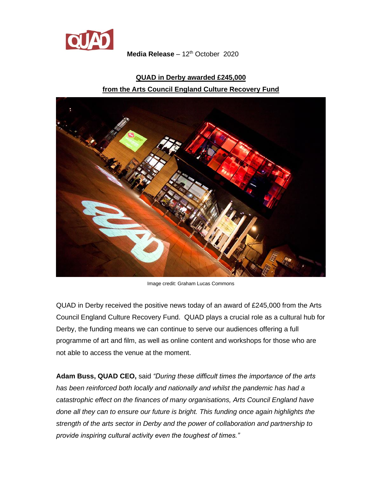

## **Media Release** – 12<sup>th</sup> October 2020

## **QUAD in Derby awarded £245,000 from the Arts Council England Culture Recovery Fund**



Image credit: Graham Lucas Commons

QUAD in Derby received the positive news today of an award of £245,000 from the Arts Council England Culture Recovery Fund. QUAD plays a crucial role as a cultural hub for Derby, the funding means we can continue to serve our audiences offering a full programme of art and film, as well as online content and workshops for those who are not able to access the venue at the moment.

**Adam Buss, QUAD CEO,** said *"During these difficult times the importance of the arts has been reinforced both locally and nationally and whilst the pandemic has had a catastrophic effect on the finances of many organisations, Arts Council England have done all they can to ensure our future is bright. This funding once again highlights the strength of the arts sector in Derby and the power of collaboration and partnership to provide inspiring cultural activity even the toughest of times."*